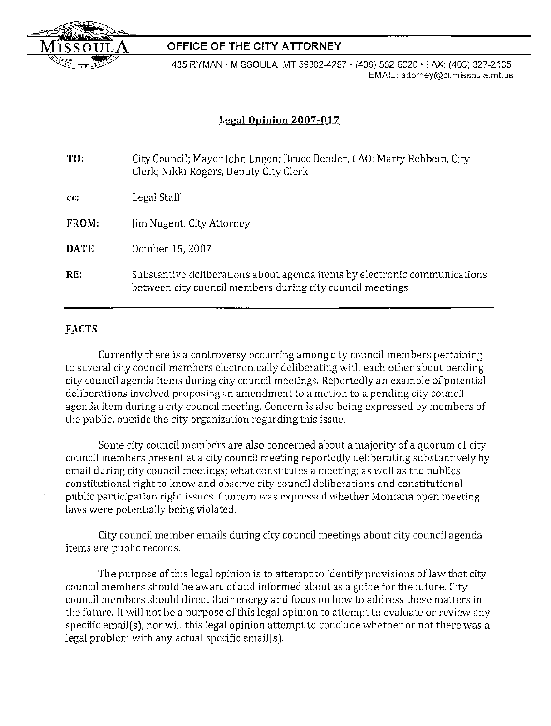

435 RYMAN· MISSOULA, MT 59802-4297· (406) 552-6020' FAX: (406) 327-2105 EMAIL: attorney@ci.missoula.mt.us

# **Legal Opinion 2007-017**

| TO:         | City Council; Mayor John Engen; Bruce Bender, CAO; Marty Rehbein, City<br>Clerk; Nikki Rogers, Deputy City Clerk                       |
|-------------|----------------------------------------------------------------------------------------------------------------------------------------|
| CC          | Legal Staff                                                                                                                            |
| FROM:       | Jim Nugent, City Attorney                                                                                                              |
| <b>DATE</b> | October 15, 2007                                                                                                                       |
| RE:         | Substantive deliberations about agenda items by electronic communications<br>between city council members during city council meetings |

## **FACTS**

Currently there is a controversy occurring among city council members pertaining to several city council members electronically deliberating with each other about pending city council agenda items during city council meetings. Reportedly an example of potential deliberations involved proposing an amendment to a motion to a pending city council agenda item during a city council meeting. Concern is also being expressed by members of the public, outside the city organization regarding this issue.

Some city council members are also concerned about a majority of a quorum of city council members present at a city council meeting reportedly deliberating substantively by email during city council meetings; what constitutes a meeting; as well as the publics' constitutional right to know and observe city council deliberations and constitutional public participation right issues. Concern was expressed whether Montana open meeting laws were potentially being violated.

City council member emails during city council meetings about city council agenda items are public records.

The purpose of this legal opinion is to attempt to identify provisions of law that city council members should be aware of and informed about as a guide for the future. City council members should direct their energy and focus on how to address these matters in the future. It will not be a purpose of this legal opinion to attempt to evaluate or review any specific email(s), nor will this legal opinion attempt to conclude whether or not there was a legal problem with any actual specific email(s).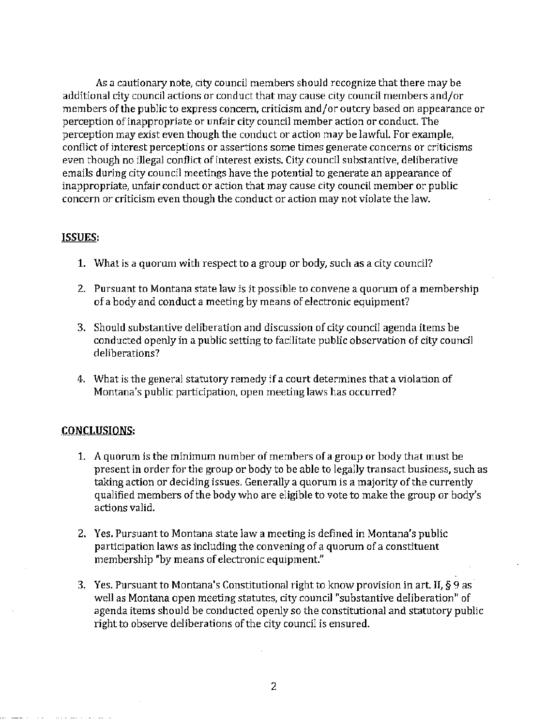As a cautionary note, city council members should recognize that there may be additional city council actions or conduct that may cause city council members and/or members of the public to express concern, criticism and/or outcry based on appearance or perception of inappropriate or unfair city council member action or conduct. The perception may exist even though the conduct or action may be lawful. For example, conflict of interest perceptions or assertions some times generate concerns or criticisms even though no illegal conflict of interest exists. City council substantive, deliberative emails during city council meetings have the potential to generate an appearance of inappropriate, unfair conduct or action that may cause city council member or public concern or criticism even though the conduct or action may not violate the law.

## **ISSUES:**

- 1. What is a quorum with respect to a group or body, such as a city council?
- 2. Pursuant to Montana state law is it possible to convene a quorum of a membership of a body and conduct a meeting by means of electronic equipment?
- 3. Should substantive deliberation and discussion of city council agenda items be conducted openly in a public setting to facilitate public observation of city council deliberations?
- 4. What is the general statutory remedy if a court determines that a violation of Montana's public participation, open meeting laws has occurred?

## **CONCLUSIONS:**

 $\sim 10$ 

and a series.

- 1. A quorum is the minimum number of members of a group or body that must be present in order for the group or body to be able to legally transact business, such as taking action or deciding issues. Generally a quorum is a majority of the currently qualified members of the body who are eligible to vote to make the group or body's actions valid.
- 2. Yes. Pursuant to Montana state law a meeting is defined in Montana's public participation laws as including the convening of a quorum of a constituent membership "by means of electronic equipment."
- 3. Yes. Pursuant to Montana's Constitutional right to know provision in art. II, § 9 as well as Montana open meeting statutes, city council "substantive deliberation" of agenda items should be conducted openly so the constitutional and statutory public right to observe deliberations of the city council is ensured.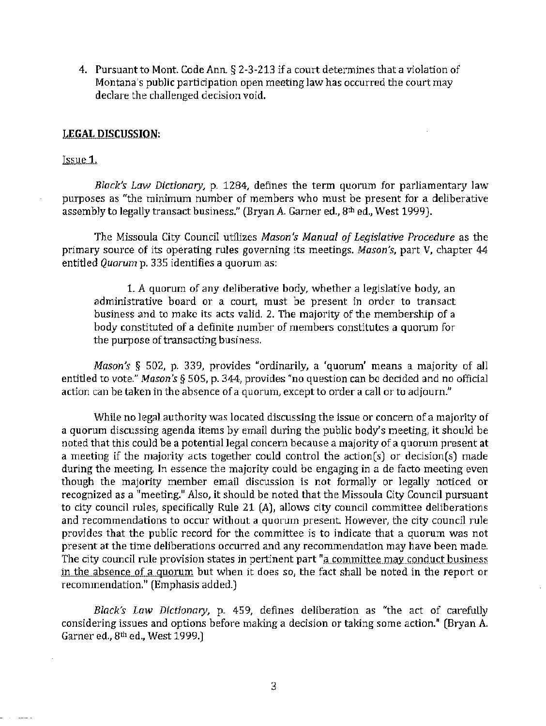4. Pursuant to Mont. Code Ann. § 2-3-213 if a court determines that a violation of Montana's public participation open meeting law has occurred the court may declare the challenged decision void.

#### **LEGAL DISCUSSION:**

#### Issue 1.

*Black's Law Dictionary,* p. 1284, defines the term quorum for parliamentary law purposes as "the minimum number of members who must be present for a deliberative assembly to legally transact business." (Bryan A. Garner ed., 8th ed., West 1999).

The Missoula City Council utilizes *Mason's Manual of Legislative Procedure* as the primary source of its operating rules governing its meetings. *Mason's,* part V, chapter 44 entitled *Quorum* p. 335 identifies a quorum as:

1. A quorum of any deliberative body, whether a legislative body, an administrative board or a court, must be present in order to transact business and to make its acts valid. 2. The majority of the membership of a body constituted of a definite number of members constitutes a quorum for the purpose of transacting business.

*Mason's* § 502, p. 339, provides "ordinarily, a 'quorum' means a majority of all entitled to vote." *Mason's* § 50S, p. 344, provides "no question can be decided and no official action can be taken in the absence of a quorum, except to order a call or to adjourn."

While no legal authority was located discussing the issue or concern of a majority of a quorum discussing agenda items by email during the public body's meeting, it should be noted that this could be a potential legal concern because a majority of a quorum present at a meeting if the majority acts together could control the action(s) or decision(s) made during the meeting. In essence the majority could be engaging in a de facto meeting even though the majority member email discussion is not formally or legally noticed or recognized as a "meeting." Also, it should be noted that the Missoula City Council pursuant to city council rules, specifically Rule 21 (A), allows city council committee deliberations and recommendations to occur without a quorum present. However, the city council rule provides that the public record for the committee is to indicate that a quorum was not present at the time deliberations occurred and any recommendation may have been made. The city council rule provision states in pertinent part "a committee may conduct business in the absence of a quorum but when it does so, the fact shall be noted in the report or recommendation." (Emphasis added.)

*Black's Law Dictionary,* p. 459, defines deliberation as "the act of carefully considering issues and options before making a decision or taking some action." (Bryan A. Garner ed., 8<sup>th</sup> ed., West 1999.]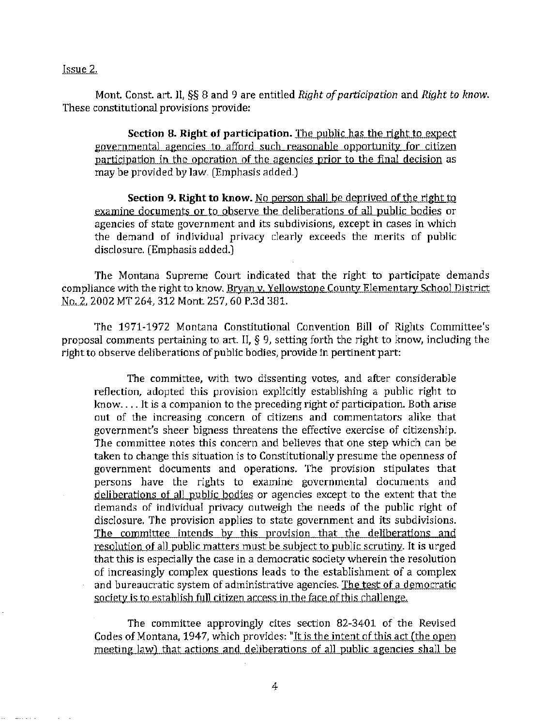Issue 2.

Mont. Const. art. II, §§ 8 and 9 are entitled *Right of participation* and *Right to know*. These constitutional provisions provide:

**Section 8. Right of participation.** The public has the right to expect governmental agencies to afford such reasonable opportunity for citizen participation in the operation of the agencies prior to the final decision as may be provided by law. (Emphasis added.)

**Section 9. Right to know.** No person shall be deprived of the right to examine documents or to observe the deliberations of all public bodies or agencies of state government and its subdivisions, except in cases in which the demand of individual privacy clearly exceeds the merits of public disclosure. (Emphasis added.)

The Montana Supreme Court indicated that the right to participate demands compliance with the right to know. Bryan v. Yellowstone County Elementary School District No.2, 2002 MT 264, 312 Mont. 257,60 P.3d 381.

The 1971-1972 Montana Constitutional Convention Bill of Rights Committee's proposal comments pertaining to art. II, § 9, setting forth the right to know, including the right to observe deliberations of public bodies, provide in pertinent part:

The committee, with two dissenting votes, and after considerable reflection, adopted this provision explicitly establishing a public right to  $k$ now.... It is a companion to the preceding right of participation. Both arise out of the increasing concern of citizens and commentators alike that government's sheer bigness threatens the effective exercise of citizenship. The committee notes this concern and believes that one step which can be taken to change this situation is to Constitutionally presume the openness of government documents and operations. The provision stipulates that persons have the rights to examine governmental documents and deliberations of all public bodies or agencies except to the extent that the demands of individual privacy outweigh the needs of the public right of disclosure. The provision applies to state government and its subdivisions. The committee intends by this provision that the deliberations and resolution of all public matters must be subject to public scrutiny. It is urged that this is especially the case in a democratic society wherein the resolution of increasingly complex questions leads to the establishment of a complex and bureaucratic system of administrative agencies. The test of a democratic society is to establish full citizen access in the face of this challenge.

The committee approvingly cites section 82-3401 of the Revised Codes of Montana, 1947. which provides: "It is the intent of this act (the open meeting law) that actions and deliberations of all public agencies shall be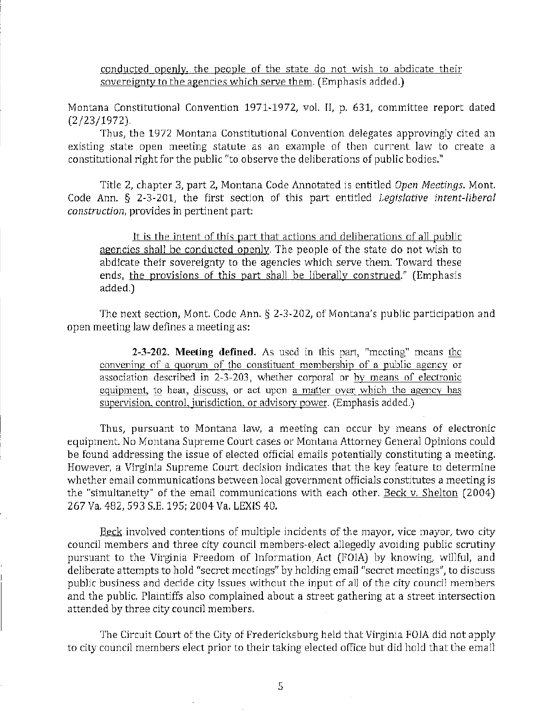conducted openly. the people of the state do not wish to abdicate their sovereignty to the agencies which serve them. (Emphasis added.)

Montana Constitutional Convention 1971-1972, vol. II, p. 631, committee report dated (2/23/1972).

Thus, the 1972 Montana Constitutional Convention delegates approvingly cited an existing state open meeting statute as an example of then current law to create a constitutional right for the public "to observe the deliberations of public bodies."

Title 2, chapter 3, part 2, Montana Code Annotated is entitled *Open Meetings.* Mont. Code Ann. § 2-3-201, the first section of this part entitled *Legislative intent-liberal construction,* provides in pertinent part:

It is the intent of this part that actions and deliberations of all public agencies shall be conducted openly. The people of the state do not wish to abdicate their sovereignty to the agencies which serve them. Toward these ends, the provisions of this part shall be liberally construed." (Emphasis added.)

The next section, Mont. Code Ann. § 2-3-202, of Montana's public participation and open meeting law defines a meeting as:

**2-3-202. Meeting defined.** As used in this part, "meeting" means the convening of a quorum of the constituent membership of a public agency or association described in 2-3-203, whether corporal or by means of electronic equipment, to hear, discuss, or act upon a matter over which the agency has supervision, control, jurisdiction, or advisory power. (Emphasis added.)

Thus, pursuant to Montana law, a meeting can occur by means of electronic equipment. No Montana Supreme Court cases or Montana Attorney General Opinions could be found addressing the issue of elected official emails potentially constituting a meeting. However, a Virginia Supreme Court decision indicates that the key feature to determine whether email communications between local government officials constitutes a meeting is the "simUltaneity" of the email communications with each other. Beck v. Shelton (2004) 267 Va. 482,593 S.E. 195; 2004 Va. LEXIS 40.

Beck involved contentions of multiple incidents of the mayor, vice mayor, two city council members and three city council members-elect allegedly avoiding public scrutiny pursuant to the Virginia Freedom of Information, Act (FOIA) by knowing, willful, and deliberate attempts to hold "secret meetings" byholding email "secret meetings", to discuss public business and decide city issues without the input of all of the city council members and the public. Plaintiffs also complained about a street gathering at a street intersection attended by three city council members.

The Circuit Court of the City of Fredericksburg held that Virginia FOIA did not apply to city council members elect prior to their taking elected office but did hold that the email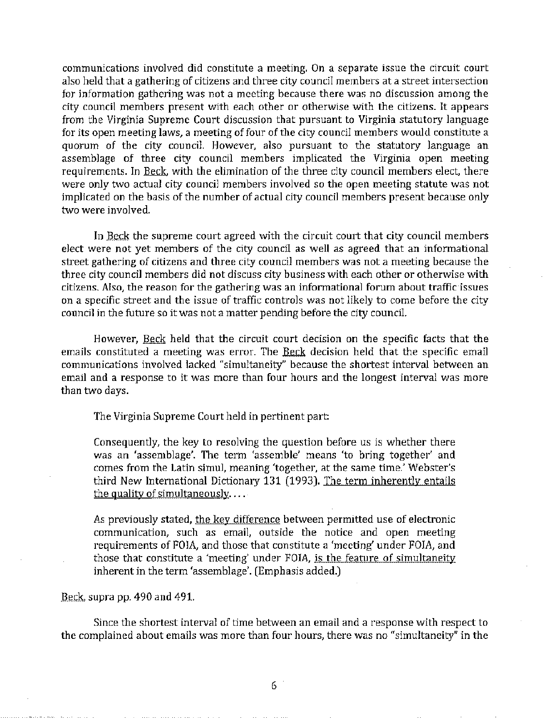communications involved did constitute a meeting. On a separate issue the circuit court also held that a gathering of citizens and three city council members at a street intersection for information gathering was not a meeting because there was no discussion among the city council members present with each other or otherwise with the citizens. It appears from the Virginia Supreme Court discussion that pursuant to Virginia statutory language for its open meeting laws, a meeting of four of the city council members would constitute a quorum of the city council. However, also pursuant to the statutory language an assemblage of three city council members implicated the Virginia open meeting requirements. In Beck, with the elimination of the three city council members elect, there were only two actual city council members involved so the open meeting statute was not implicated on the basis of the number of actual city council members present because only two were involved.

In Beck the supreme court agreed with the circuit court that city council members elect were not yet members of the city council as well as agreed that an informational street gathering of citizens and three city council members was not a meeting because the three city council members did not discuss city business with each other or otherwise with citizens. *Also,* the reason for the gathering was an informational forum about traffic issues on a specific street and the issue of traffic controls was not likely to come before the city council in the future so it was not a matter pending before the city council.

However, Beck held that the circuit court decision on the specific facts that the emails constituted a meeting was error. The Beck decision held that the specific email communications involved lacked "simultaneity" because the shortest interval between an email and a response to it was more than four hours and the longest interval was more than two days.

The Virginia Supreme Court held in pertinent part:

Consequently, the key to resolving the question before us is whether there was an 'assemblage', The term 'assemble' means 'to bring together' and comes from the Latin simul, meaning 'together, at the same time.' Webster's third New International Dictionary 131 (1993). The term inherently entails the quality of simultaneously, ...

As previously stated, the key difference between permitted use of electronic communication, such as email, outside the notice and open meeting requirements of FOJA, and those that constitute a 'meeting' under FOIA, and those that constitute a 'meeting' under FOIA, is the feature of simultaneity inherent in the term 'assemblage'. (Emphasis added.)

#### Beck, supra pp. 490 and 491.

Since the shortest interval of time between an email and a response with respect to the complained about emails was more than four hours, there was no "simultaneity" in the

6 '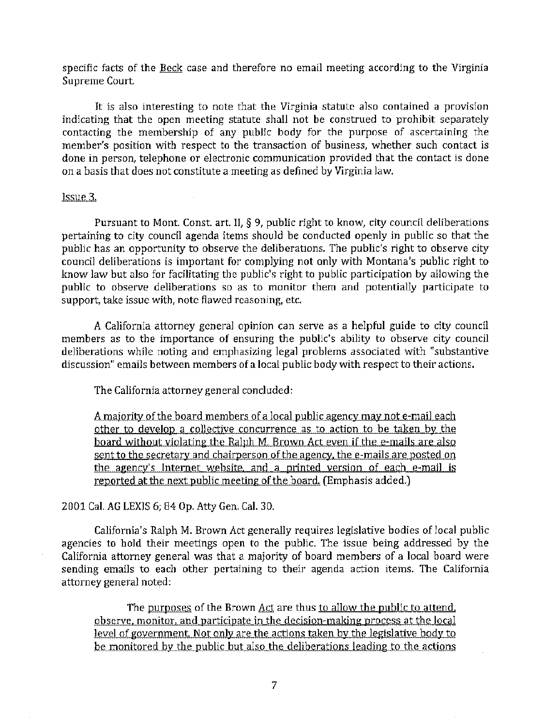specific facts of the Beck case and therefore no email meeting according to the Virginia Supreme Court.

It is also interesting to note that the Virginia statute also contained a provision indicating that the open meeting statute shall not be construed to prohibit separately contacting the membership of any public body for the purpose of ascertaining the member's position with respect to the transaction of business, whether such contact is done in person, telephone or electronic communication provided that the contact is done on a basis that does not constitute a meeting as defined by Virginia law.

#### Issue 3.

Pursuant to Mont. Const. art. II, § 9, public right to know, city council deliberations pertaining to city council agenda items should be conducted openly in public so that the public has an opportunity to observe the deliberations. The public's right to observe city council deliberations is important for complying not only with Montana's public right to know law but also for facilitating the public's right to public participation by allowing the public to observe deliberations so as to monitor them and potentially participate to support, take issue with, note flawed reasoning, etc.

A California attorney general opinion can serve as a helpful guide to city council members as to the importance of ensuring the public's ability to observe city council deliberations while noting and emphasizing legal problems associated with "substantive discussion" emails between members of a local public body with respect to their actions.

The California attorney general concluded:

A majority of the board members of a local public agency may not e-mail each other to develop a collective concurrence as to action to be taken by the board without violating the Ralph M. Brown Act even if the e-mails are also sent to the secretary and chairperson of the agency, the e-mails are posted on the agency's Internet website, and a printed version of each e-mail is reported at the next public meeting of the board. (Emphasis added.)

#### 2001 Cal. AG LEXIS 6; 84 Op. Atty Gen. Cal. 30.

California's Ralph M. Brown Act generally requires legislative bodies of local public agencies to hold their meetings open to the public. The issue being addressed by the California attorney general was that a majority of board members of a local board were sending emails to each other pertaining to their agenda action items. The California attorney general noted:

The purposes of the Brown Act are thus to allow the public to attend. observe, monitor, and participate in the decision-making process at the local level of government. Not only are the actions taken by the legislative body to be monitored by the public but also the deliberations leading to the actions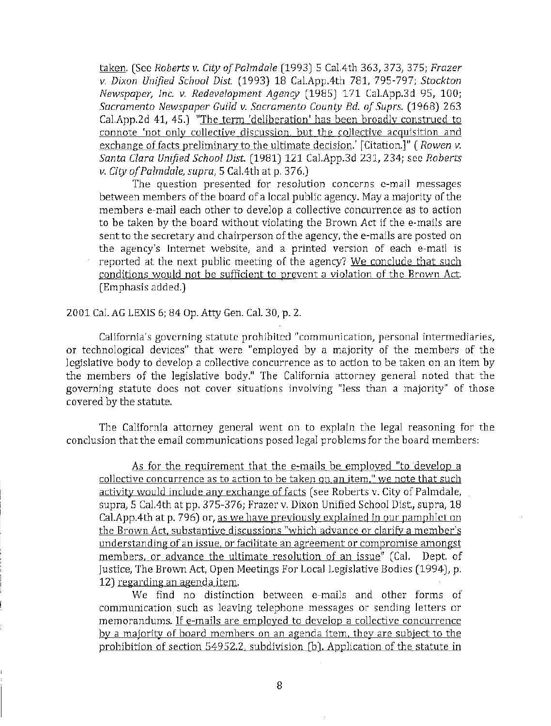taken. (See *Roberts v. City of Palmdale* (1993) 5 Cal.4th 363, 373, 375; *Frazer v. Dixon Unified School Dist.* (1993) 18 Cal.AppAth 781, 795-797; *Stockton Newspape0 Inc. v. Redevelopment Agency* (1985) 171 Cal.App.3d 95, 100; *Sacramento Newspaper Guild v. Sacramento County Bd. of Suprs.* (1968) 263 Cal.App.2d 41, 45.) "The term 'deliberation' has been broadly construed to connote 'not only collective discussion, but the collective acquisition and exchange of facts preliminary to the ultimate decision.' [Citation.]" *(Rowen v. Santa Clara Unified School Dist.* (1981) 121 Cal.App.3d 231, 234; see *Roberts v. City of Palm dale, supra,* 5 Ca1.4th at p. 376.)

The question presented for resolution concerns e-mail messages between members of the board of a local public agency. Maya majority of the members e-mail each other to develop a collective concurrence as to action to be taken by the board without violating the Brown Act if the e-mails are sent to the secretary and chairperson of the agency, the e-mails are posted on the agency's Internet website, and a printed version of each e-mail is reported at the next public meeting of the agency? We conclude that such conditions would not be sufficient to prevent a violation of the Brown Act. (Emphasis added.)

2001 Cal. AG LEXIS 6; 84 Op. Atty Gen. Cal. 3D, p. 2.

California's governing statute prohibited "communication, personal intermediaries, or technological devices" that were "employed by a majority of the members of the legislative body to develop a collective concurrence as to action to be taken on an item by the members of the legislative body." The California attorney general noted that the governing statute does not cover situations involving "less than a majority" of those covered by the statute.

The California attorney general went on to explain the legal reasoning for the conclusion that the email communications posed legal problems for the board members:

As for the requirement that the e-mails be employed "to develop a collective concurrence as to action to be taken on an item," we note that such activity would include any exchange of facts (see Roberts v. City of Palmdale, supra) 5 Ca1.4th at pp. 375-376; Frazer v. Dixon Unified School Dist., supra, 18 Cal. App. 4th at p. 796) or, as we have previously explained in our pamphlet on the Brown Act, substantive discussions "which advance or clarify a member's understanding of an issue, or facilitate an agreement or compromise amongst members, or advance the ultimate resolution of an issue" (Cal. Dept. of Justice, The Brown Act, Open Meetings For Local Legislative Bodies (1994), p. 12) regarding an agenda item.

We find no distinction between e-mails and other forms of communication such as leaving telephone messages or sending letters or memorandums. If e-mails are employed to develop a collective concurrence by a majority of board members on an agenda item, they are subject to the prohibition of section 54952.2, subdivision (b). Application of the statute in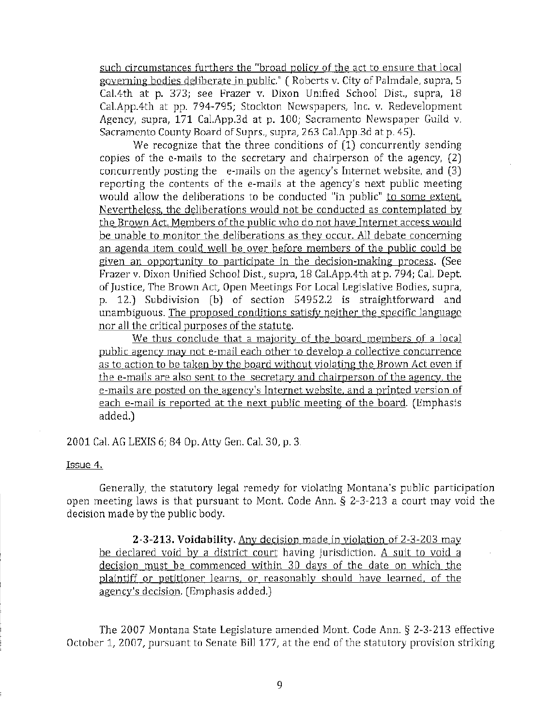such circumstances furthers the "broad policy of the act to ensure that local governing bodies deliberate in public." ( Roberts v. City of Palmdale, supra, 5 Cal.4th at p. 373; see Frazer v. Dixon Unified School Dist., supra, 18 Cal.App.4th at pp. 794-795; Stockton Newspapers, Inc. v. Redevelopment Agency, supra, 171 Cal.App.3d at p. 100; Sacramento Newspaper Guild v. Sacramento County Board of Suprs., supra, 263 Cal.App.3d at p. 45).

We recognize that the three conditions of  $(1)$  concurrently sending copies of the e-mails to the secretary and chairperson of the agency, (2) concurrently posting the e-mails on the agency's Internet website, and (3) reporting the contents of the e-mails at the agency's next public meeting would allow the deliberations to be conducted "in public" to some extent Nevertheless. the deliberations would not be conducted as contemplated by the Brown Act. Members of the public who do not have Internet access would be unable to monitor the deliberations as they occur. All debate concerning an agenda item could well be over before members of the public could be given an opportunity to participate in the decision-making process. (See Frazer v. Dixon Unified School Dist., supra, 18 Cal.App.4th at p. 794; Cal. Dept of Justice, The Brown Act, Open Meetings For Local Legislative Bodies, supra, p. 12.) Subdivision (b) of section 54952.2 is straightforward and unambiguous. The proposed conditions satisfy neither the specific language nor all the critical purposes of the statute.

We thus conclude that a majority of the board members of a local public agency may not e-mail each other to develop a collective concurrence as to action to be taken by the board without violating the Brown Act even if the e-mails are also sent to the secretary and chairperson of the agency. the e-mails are posted on the agency's Internet website. and a printed version of each e-mail is reported at the next public meeting of the board. (Emphasis added.)

2001 Cal. AG LEXIS 6; 84 Op. Atty Gen. Cal. 30, p. 3.

Issue 4.

Generally, the statutory legal remedy for violating Montana's public participation open meeting laws is that pursuant to Mont. Code Ann. § 2-3-213 a court may void the decision made by the public body.

2-3-213. Voidability. Any decision made in violation of 2-3-203 may be declared void by a district court having jurisdiction. A suit to void a decision must be commenced within 30 days of the date on which the plaintiff or petitioner learns, or reasonably should have learned. of the agency's decision. (Emphasis added,)

The 2007 Montana State Legislature amended Mont. Code Ann. § 2-3-213 effective October 1, 2007, pursuant to Senate Bill 177, at the end of the statutory provision striking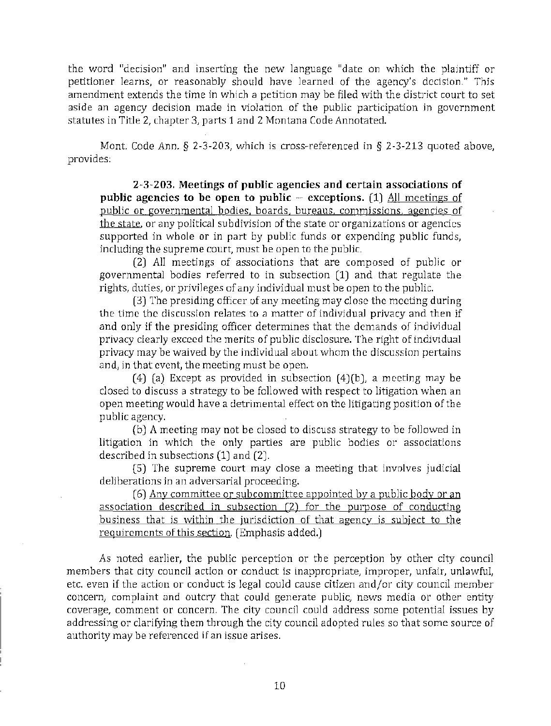the word "decision" and inserting the new language "date on which the plaintiff or petitioner learns, or reasonably should have learned of the agency's decision." This amendment extends the time in which a petition may be filed with the district court to set aside an agency decision made in violation of the public participation in government statutes in Title 2, chapter 3, parts 1 and 2 Montana Code Annotated.

Mont. Code Ann. § 2-3-203, which is cross-referenced in § 2-3-213 quoted above, provides:

2-3-203. Meetings of public agencies and certain associations of public agencies to be open to public -- exceptions. (1) All meetings of public or governmental bodies. boards. bureaus. commissions. agencies of the state, or any political subdivision of the state or organizations or agencies supported in whole or in part by public funds or expending public funds, including the supreme court, must be open to the public.

(2) All meetings of associations that are composed of public or governmental bodies referred to in subsection (1) and that regulate the rights, duties, or privileges of any individual must be open to the public.

(3) The presiding officer of any meeting may close the meeting during the time the discussion relates to a matter of individual privacy and then if and only if the presiding officer determines that the demands of individual privacy clearly exceed the merits of public disclosure. The right of individual privacy may be waived by the individual about whom the discussion pertains and, in that event, the meeting must be open.

(4) (a) Except as provided in subsection  $(4)(b)$ , a meeting may be closed to discuss a strategy to be followed with respect to litigation when an open meeting would have a detrimental effect on the litigating position of the public agency.

(b) A meeting may not be closed to discuss strategy to be followed in litigation in which the only parties are public bodies or associations described in subsections (1) and (2).

(5) The supreme court may close a meeting that involves judicial deliberations in an adversarial proceeding.

(6) Any committee or subcommittee appointed by a public body or an association described in subsection (2) for the purpose of conducting business that is within the jurisdiction of that agency is subject to the requirements of this section. (Emphasis added.)

As noted earlier, the public perception or the perception by other city council members that city council action or conduct is inappropriate, improper, unfair, unlawful, etc. even if the action or conduct is legal could cause citizen and/or city council member concern, complaint and outcry that could generate public, news media or other entity coverage, comment or concern. The city council could address some potential issues by addressing or clarifying them through the city council adopted rules so that some source of authority may be referenced if an issue arises.